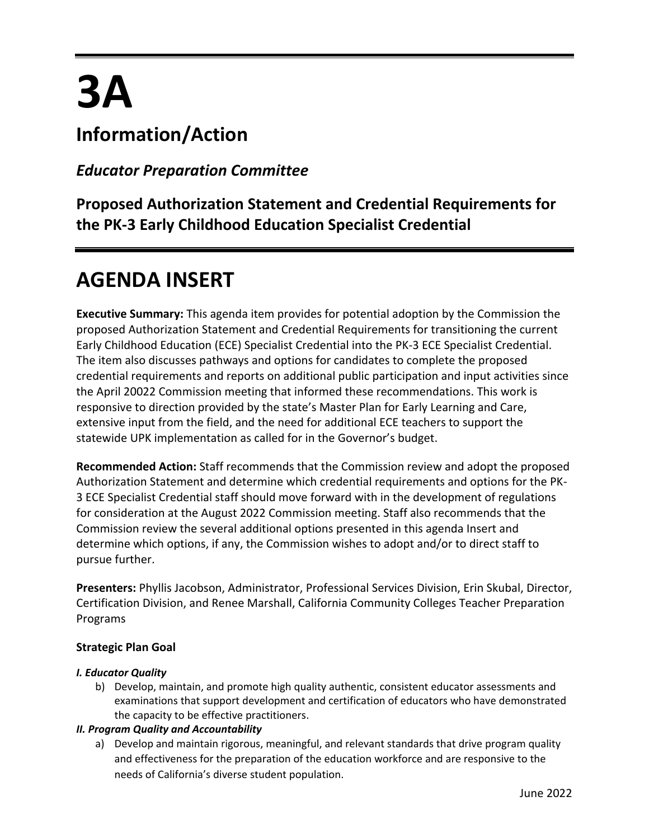# **3A**

# **Information/Action**

### *Educator Preparation Committee*

**Proposed Authorization Statement and Credential Requirements for the PK-3 Early Childhood Education Specialist Credential**

# **AGENDA INSERT**

**Executive Summary:** This agenda item provides for potential adoption by the Commission the proposed Authorization Statement and Credential Requirements for transitioning the current Early Childhood Education (ECE) Specialist Credential into the PK-3 ECE Specialist Credential. The item also discusses pathways and options for candidates to complete the proposed credential requirements and reports on additional public participation and input activities since the April 20022 Commission meeting that informed these recommendations. This work is responsive to direction provided by the state's Master Plan for Early Learning and Care, extensive input from the field, and the need for additional ECE teachers to support the statewide UPK implementation as called for in the Governor's budget.

**Recommended Action:** Staff recommends that the Commission review and adopt the proposed Authorization Statement and determine which credential requirements and options for the PK-3 ECE Specialist Credential staff should move forward with in the development of regulations for consideration at the August 2022 Commission meeting. Staff also recommends that the Commission review the several additional options presented in this agenda Insert and determine which options, if any, the Commission wishes to adopt and/or to direct staff to pursue further.

**Presenters:** Phyllis Jacobson, Administrator, Professional Services Division, Erin Skubal, Director, Certification Division, and Renee Marshall, California Community Colleges Teacher Preparation Programs

#### **Strategic Plan Goal**

#### *I. Educator Quality*

b) Develop, maintain, and promote high quality authentic, consistent educator assessments and examinations that support development and certification of educators who have demonstrated the capacity to be effective practitioners.

#### *II. Program Quality and Accountability*

a) Develop and maintain rigorous, meaningful, and relevant standards that drive program quality and effectiveness for the preparation of the education workforce and are responsive to the needs of California's diverse student population.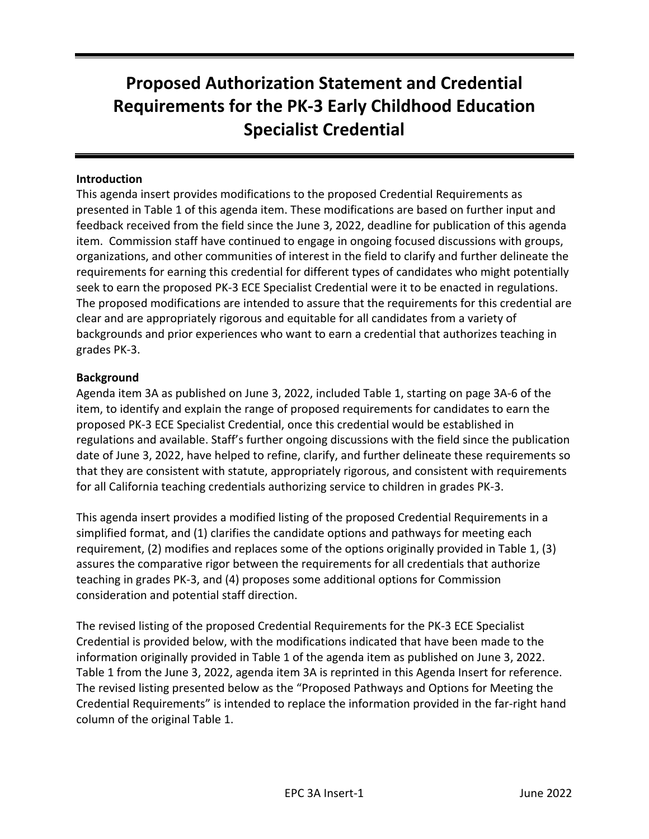# **Proposed Authorization Statement and Credential Requirements for the PK-3 Early Childhood Education Specialist Credential**

#### **Introduction**

This agenda insert provides modifications to the proposed Credential Requirements as presented in Table 1 of this agenda item. These modifications are based on further input and feedback received from the field since the June 3, 2022, deadline for publication of this agenda item. Commission staff have continued to engage in ongoing focused discussions with groups, organizations, and other communities of interest in the field to clarify and further delineate the requirements for earning this credential for different types of candidates who might potentially seek to earn the proposed PK-3 ECE Specialist Credential were it to be enacted in regulations. The proposed modifications are intended to assure that the requirements for this credential are clear and are appropriately rigorous and equitable for all candidates from a variety of backgrounds and prior experiences who want to earn a credential that authorizes teaching in grades PK-3.

#### **Background**

Agenda item 3A as published on June 3, 2022, included Table 1, starting on page 3A-6 of the item, to identify and explain the range of proposed requirements for candidates to earn the proposed PK-3 ECE Specialist Credential, once this credential would be established in regulations and available. Staff's further ongoing discussions with the field since the publication date of June 3, 2022, have helped to refine, clarify, and further delineate these requirements so that they are consistent with statute, appropriately rigorous, and consistent with requirements for all California teaching credentials authorizing service to children in grades PK-3.

This agenda insert provides a modified listing of the proposed Credential Requirements in a simplified format, and (1) clarifies the candidate options and pathways for meeting each requirement, (2) modifies and replaces some of the options originally provided in Table 1, (3) assures the comparative rigor between the requirements for all credentials that authorize teaching in grades PK-3, and (4) proposes some additional options for Commission consideration and potential staff direction.

The revised listing of the proposed Credential Requirements for the PK-3 ECE Specialist Credential is provided below, with the modifications indicated that have been made to the information originally provided in Table 1 of the agenda item as published on June 3, 2022. Table 1 from the June 3, 2022, agenda item 3A is reprinted in this Agenda Insert for reference. The revised listing presented below as the "Proposed Pathways and Options for Meeting the Credential Requirements" is intended to replace the information provided in the far-right hand column of the original Table 1.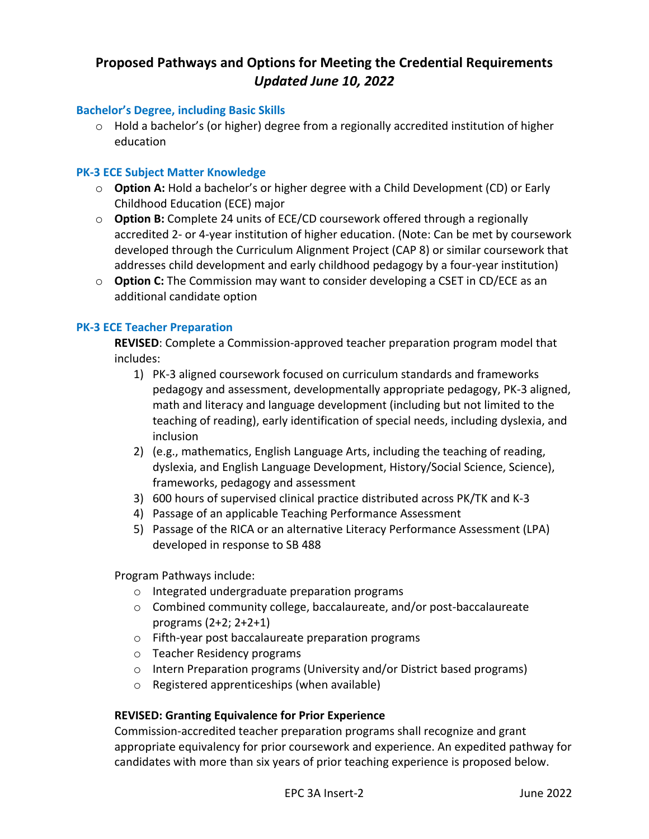#### **Proposed Pathways and Options for Meeting the Credential Requirements** *Updated June 10, 2022*

#### **Bachelor's Degree, including Basic Skills**

 $\circ$  Hold a bachelor's (or higher) degree from a regionally accredited institution of higher education

#### **PK-3 ECE Subject Matter Knowledge**

- o **Option A:** Hold a bachelor's or higher degree with a Child Development (CD) or Early Childhood Education (ECE) major
- o **Option B:** Complete 24 units of ECE/CD coursework offered through a regionally accredited 2- or 4-year institution of higher education. (Note: Can be met by coursework developed through the Curriculum Alignment Project (CAP 8) or similar coursework that addresses child development and early childhood pedagogy by a four-year institution)
- o **Option C:** The Commission may want to consider developing a CSET in CD/ECE as an additional candidate option

#### **PK-3 ECE Teacher Preparation**

**REVISED**: Complete a Commission-approved teacher preparation program model that includes:

- 1) PK-3 aligned coursework focused on curriculum standards and frameworks pedagogy and assessment, developmentally appropriate pedagogy, PK-3 aligned, math and literacy and language development (including but not limited to the teaching of reading), early identification of special needs, including dyslexia, and inclusion
- 2) (e.g., mathematics, English Language Arts, including the teaching of reading, dyslexia, and English Language Development, History/Social Science, Science), frameworks, pedagogy and assessment
- 3) 600 hours of supervised clinical practice distributed across PK/TK and K-3
- 4) Passage of an applicable Teaching Performance Assessment
- 5) Passage of the RICA or an alternative Literacy Performance Assessment (LPA) developed in response to SB 488

Program Pathways include:

- o Integrated undergraduate preparation programs
- o Combined community college, baccalaureate, and/or post-baccalaureate programs (2+2; 2+2+1)
- o Fifth-year post baccalaureate preparation programs
- o Teacher Residency programs
- o Intern Preparation programs (University and/or District based programs)
- o Registered apprenticeships (when available)

#### **REVISED: Granting Equivalence for Prior Experience**

Commission-accredited teacher preparation programs shall recognize and grant appropriate equivalency for prior coursework and experience. An expedited pathway for candidates with more than six years of prior teaching experience is proposed below.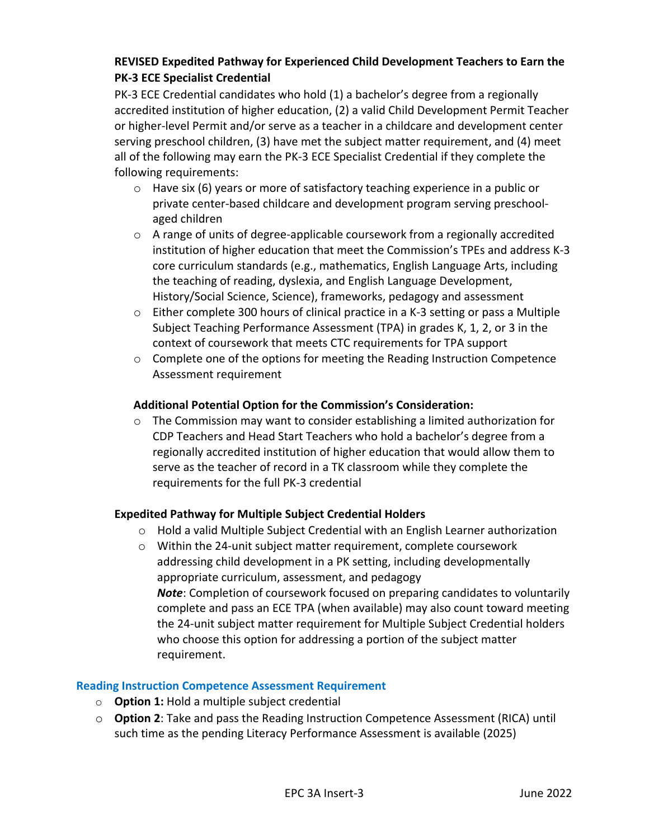#### **REVISED Expedited Pathway for Experienced Child Development Teachers to Earn the PK-3 ECE Specialist Credential**

PK-3 ECE Credential candidates who hold (1) a bachelor's degree from a regionally accredited institution of higher education, (2) a valid Child Development Permit Teacher or higher-level Permit and/or serve as a teacher in a childcare and development center serving preschool children, (3) have met the subject matter requirement, and (4) meet all of the following may earn the PK-3 ECE Specialist Credential if they complete the following requirements:

- $\circ$  Have six (6) years or more of satisfactory teaching experience in a public or private center-based childcare and development program serving preschoolaged children
- $\circ$  A range of units of degree-applicable coursework from a regionally accredited institution of higher education that meet the Commission's TPEs and address K-3 core curriculum standards (e.g., mathematics, English Language Arts, including the teaching of reading, dyslexia, and English Language Development, History/Social Science, Science), frameworks, pedagogy and assessment
- o Either complete 300 hours of clinical practice in a K-3 setting or pass a Multiple Subject Teaching Performance Assessment (TPA) in grades K, 1, 2, or 3 in the context of coursework that meets CTC requirements for TPA support
- $\circ$  Complete one of the options for meeting the Reading Instruction Competence Assessment requirement

#### **Additional Potential Option for the Commission's Consideration:**

 $\circ$  The Commission may want to consider establishing a limited authorization for CDP Teachers and Head Start Teachers who hold a bachelor's degree from a regionally accredited institution of higher education that would allow them to serve as the teacher of record in a TK classroom while they complete the requirements for the full PK-3 credential

#### **Expedited Pathway for Multiple Subject Credential Holders**

- $\circ$  Hold a valid Multiple Subject Credential with an English Learner authorization
- o Within the 24-unit subject matter requirement, complete coursework addressing child development in a PK setting, including developmentally appropriate curriculum, assessment, and pedagogy *Note*: Completion of coursework focused on preparing candidates to voluntarily complete and pass an ECE TPA (when available) may also count toward meeting the 24-unit subject matter requirement for Multiple Subject Credential holders who choose this option for addressing a portion of the subject matter requirement.

#### **Reading Instruction Competence Assessment Requirement**

- o **Option 1:** Hold a multiple subject credential
- o **Option 2**: Take and pass the Reading Instruction Competence Assessment (RICA) until such time as the pending Literacy Performance Assessment is available (2025)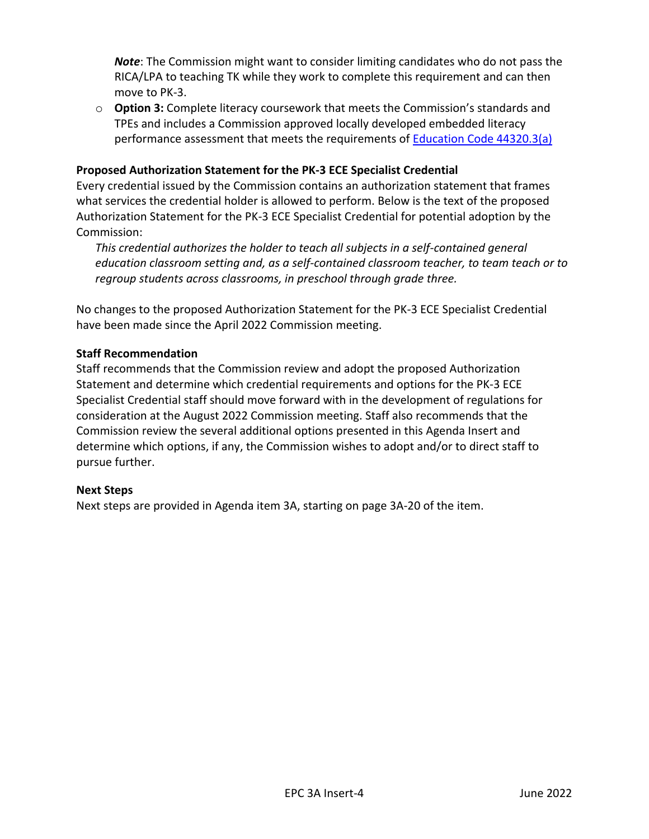*Note*: The Commission might want to consider limiting candidates who do not pass the RICA/LPA to teaching TK while they work to complete this requirement and can then move to PK-3.

o **Option 3:** Complete literacy coursework that meets the Commission's standards and TPEs and includes a Commission approved locally developed embedded literacy performance assessment that meets the requirements of **Education Code 44320.3(a)** 

#### **Proposed Authorization Statement for the PK-3 ECE Specialist Credential**

Every credential issued by the Commission contains an authorization statement that frames what services the credential holder is allowed to perform. Below is the text of the proposed Authorization Statement for the PK-3 ECE Specialist Credential for potential adoption by the Commission:

*This credential authorizes the holder to teach all subjects in a self-contained general education classroom setting and, as a self-contained classroom teacher, to team teach or to regroup students across classrooms, in preschool through grade three.*

No changes to the proposed Authorization Statement for the PK-3 ECE Specialist Credential have been made since the April 2022 Commission meeting.

#### **Staff Recommendation**

Staff recommends that the Commission review and adopt the proposed Authorization Statement and determine which credential requirements and options for the PK-3 ECE Specialist Credential staff should move forward with in the development of regulations for consideration at the August 2022 Commission meeting. Staff also recommends that the Commission review the several additional options presented in this Agenda Insert and determine which options, if any, the Commission wishes to adopt and/or to direct staff to pursue further.

#### **Next Steps**

Next steps are provided in Agenda item 3A, starting on page 3A-20 of the item.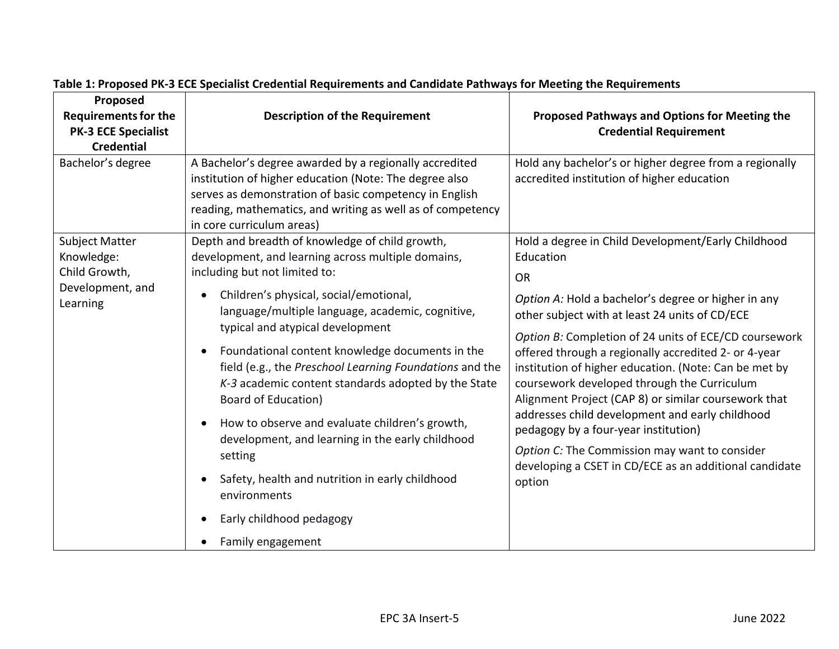| Proposed<br><b>Requirements for the</b>              | <b>Description of the Requirement</b>                                                                                                                                                                                                                                                                                                                                                                                                                                                                                                      | Proposed Pathways and Options for Meeting the                                                                                                                                                                                                                                                                                                                                                                                                                                                                                                                                                                       |
|------------------------------------------------------|--------------------------------------------------------------------------------------------------------------------------------------------------------------------------------------------------------------------------------------------------------------------------------------------------------------------------------------------------------------------------------------------------------------------------------------------------------------------------------------------------------------------------------------------|---------------------------------------------------------------------------------------------------------------------------------------------------------------------------------------------------------------------------------------------------------------------------------------------------------------------------------------------------------------------------------------------------------------------------------------------------------------------------------------------------------------------------------------------------------------------------------------------------------------------|
| <b>PK-3 ECE Specialist</b>                           |                                                                                                                                                                                                                                                                                                                                                                                                                                                                                                                                            | <b>Credential Requirement</b>                                                                                                                                                                                                                                                                                                                                                                                                                                                                                                                                                                                       |
| <b>Credential</b>                                    |                                                                                                                                                                                                                                                                                                                                                                                                                                                                                                                                            |                                                                                                                                                                                                                                                                                                                                                                                                                                                                                                                                                                                                                     |
| Bachelor's degree                                    | A Bachelor's degree awarded by a regionally accredited<br>institution of higher education (Note: The degree also<br>serves as demonstration of basic competency in English<br>reading, mathematics, and writing as well as of competency<br>in core curriculum areas)                                                                                                                                                                                                                                                                      | Hold any bachelor's or higher degree from a regionally<br>accredited institution of higher education                                                                                                                                                                                                                                                                                                                                                                                                                                                                                                                |
| <b>Subject Matter</b><br>Knowledge:<br>Child Growth, | Depth and breadth of knowledge of child growth,<br>development, and learning across multiple domains,<br>including but not limited to:                                                                                                                                                                                                                                                                                                                                                                                                     | Hold a degree in Child Development/Early Childhood<br>Education                                                                                                                                                                                                                                                                                                                                                                                                                                                                                                                                                     |
| Development, and<br>Learning                         | Children's physical, social/emotional,<br>language/multiple language, academic, cognitive,<br>typical and atypical development<br>Foundational content knowledge documents in the<br>field (e.g., the Preschool Learning Foundations and the<br>K-3 academic content standards adopted by the State<br>Board of Education)<br>How to observe and evaluate children's growth,<br>development, and learning in the early childhood<br>setting<br>Safety, health and nutrition in early childhood<br>environments<br>Early childhood pedagogy | <b>OR</b><br>Option A: Hold a bachelor's degree or higher in any<br>other subject with at least 24 units of CD/ECE<br>Option B: Completion of 24 units of ECE/CD coursework<br>offered through a regionally accredited 2- or 4-year<br>institution of higher education. (Note: Can be met by<br>coursework developed through the Curriculum<br>Alignment Project (CAP 8) or similar coursework that<br>addresses child development and early childhood<br>pedagogy by a four-year institution)<br>Option C: The Commission may want to consider<br>developing a CSET in CD/ECE as an additional candidate<br>option |
|                                                      | Family engagement                                                                                                                                                                                                                                                                                                                                                                                                                                                                                                                          |                                                                                                                                                                                                                                                                                                                                                                                                                                                                                                                                                                                                                     |

## **Table 1: Proposed PK-3 ECE Specialist Credential Requirements and Candidate Pathways for Meeting the Requirements**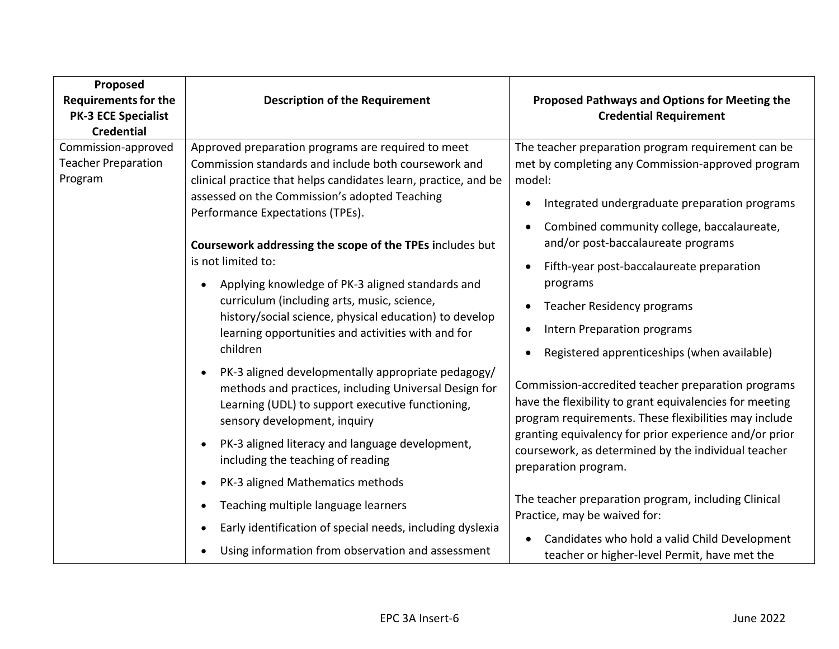| Proposed<br><b>Requirements for the</b><br><b>PK-3 ECE Specialist</b><br><b>Credential</b>     | <b>Description of the Requirement</b>                                                                                                                                                                                                                                                                                                                                                      | Proposed Pathways and Options for Meeting the<br><b>Credential Requirement</b>                                                                                                                                                                                                                                                                                                                                                                                                                                                                                                                                                                                                                                                                                                                                                                                                                                                                                    |
|------------------------------------------------------------------------------------------------|--------------------------------------------------------------------------------------------------------------------------------------------------------------------------------------------------------------------------------------------------------------------------------------------------------------------------------------------------------------------------------------------|-------------------------------------------------------------------------------------------------------------------------------------------------------------------------------------------------------------------------------------------------------------------------------------------------------------------------------------------------------------------------------------------------------------------------------------------------------------------------------------------------------------------------------------------------------------------------------------------------------------------------------------------------------------------------------------------------------------------------------------------------------------------------------------------------------------------------------------------------------------------------------------------------------------------------------------------------------------------|
| Commission-approved<br><b>Teacher Preparation</b><br>Program<br>is not limited to:<br>children | Approved preparation programs are required to meet<br>Commission standards and include both coursework and<br>clinical practice that helps candidates learn, practice, and be<br>assessed on the Commission's adopted Teaching<br>Performance Expectations (TPEs).                                                                                                                         | The teacher preparation program requirement can be<br>met by completing any Commission-approved program<br>model:<br>Integrated undergraduate preparation programs<br>$\bullet$<br>Combined community college, baccalaureate,<br>and/or post-baccalaureate programs<br>Fifth-year post-baccalaureate preparation<br>programs<br><b>Teacher Residency programs</b><br><b>Intern Preparation programs</b><br>Registered apprenticeships (when available)<br>Commission-accredited teacher preparation programs<br>have the flexibility to grant equivalencies for meeting<br>program requirements. These flexibilities may include<br>granting equivalency for prior experience and/or prior<br>coursework, as determined by the individual teacher<br>preparation program.<br>The teacher preparation program, including Clinical<br>Practice, may be waived for:<br>Candidates who hold a valid Child Development<br>teacher or higher-level Permit, have met the |
|                                                                                                | Coursework addressing the scope of the TPEs includes but<br>Applying knowledge of PK-3 aligned standards and<br>curriculum (including arts, music, science,<br>history/social science, physical education) to develop<br>learning opportunities and activities with and for<br>PK-3 aligned developmentally appropriate pedagogy/<br>methods and practices, including Universal Design for |                                                                                                                                                                                                                                                                                                                                                                                                                                                                                                                                                                                                                                                                                                                                                                                                                                                                                                                                                                   |
|                                                                                                | Learning (UDL) to support executive functioning,<br>sensory development, inquiry<br>PK-3 aligned literacy and language development,<br>including the teaching of reading<br>PK-3 aligned Mathematics methods<br>Teaching multiple language learners<br>Early identification of special needs, including dyslexia<br>Using information from observation and assessment                      |                                                                                                                                                                                                                                                                                                                                                                                                                                                                                                                                                                                                                                                                                                                                                                                                                                                                                                                                                                   |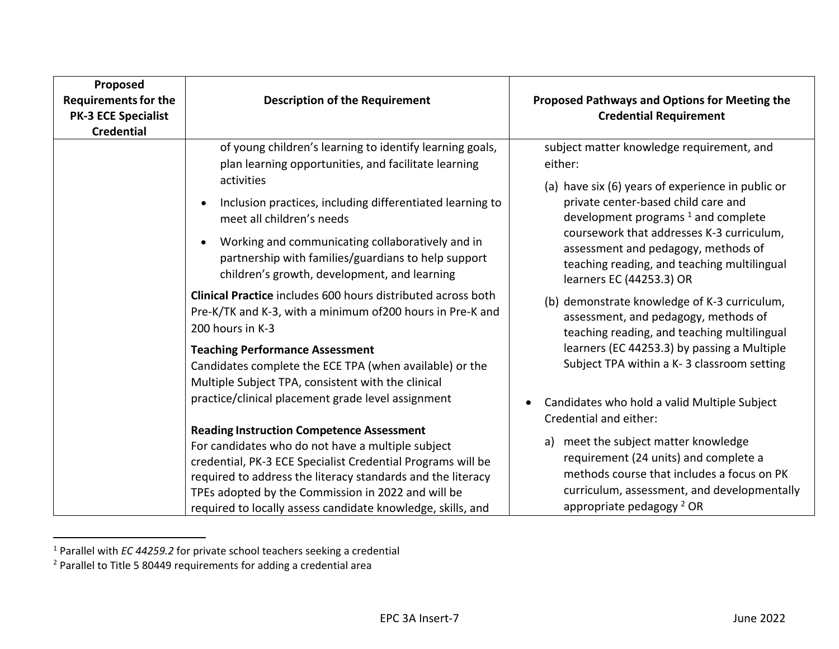| Proposed<br><b>Requirements for the</b><br><b>PK-3 ECE Specialist</b><br><b>Credential</b> | <b>Description of the Requirement</b>                                                                                                                                                                                                                                                                                                                                                                                                                                                                                                                                                                                                                                                                   | Proposed Pathways and Options for Meeting the<br><b>Credential Requirement</b>                                                                                                                                                                                                                                                                                                                                                                                                                                                                                                               |
|--------------------------------------------------------------------------------------------|---------------------------------------------------------------------------------------------------------------------------------------------------------------------------------------------------------------------------------------------------------------------------------------------------------------------------------------------------------------------------------------------------------------------------------------------------------------------------------------------------------------------------------------------------------------------------------------------------------------------------------------------------------------------------------------------------------|----------------------------------------------------------------------------------------------------------------------------------------------------------------------------------------------------------------------------------------------------------------------------------------------------------------------------------------------------------------------------------------------------------------------------------------------------------------------------------------------------------------------------------------------------------------------------------------------|
|                                                                                            | of young children's learning to identify learning goals,<br>plan learning opportunities, and facilitate learning<br>activities<br>Inclusion practices, including differentiated learning to<br>meet all children's needs<br>Working and communicating collaboratively and in<br>partnership with families/guardians to help support<br>children's growth, development, and learning<br><b>Clinical Practice</b> includes 600 hours distributed across both<br>Pre-K/TK and K-3, with a minimum of 200 hours in Pre-K and<br>200 hours in K-3<br><b>Teaching Performance Assessment</b><br>Candidates complete the ECE TPA (when available) or the<br>Multiple Subject TPA, consistent with the clinical | subject matter knowledge requirement, and<br>either:<br>(a) have six (6) years of experience in public or<br>private center-based child care and<br>development programs $1$ and complete<br>coursework that addresses K-3 curriculum,<br>assessment and pedagogy, methods of<br>teaching reading, and teaching multilingual<br>learners EC (44253.3) OR<br>(b) demonstrate knowledge of K-3 curriculum,<br>assessment, and pedagogy, methods of<br>teaching reading, and teaching multilingual<br>learners (EC 44253.3) by passing a Multiple<br>Subject TPA within a K-3 classroom setting |
|                                                                                            | practice/clinical placement grade level assignment<br><b>Reading Instruction Competence Assessment</b><br>For candidates who do not have a multiple subject<br>credential, PK-3 ECE Specialist Credential Programs will be<br>required to address the literacy standards and the literacy<br>TPEs adopted by the Commission in 2022 and will be<br>required to locally assess candidate knowledge, skills, and                                                                                                                                                                                                                                                                                          | Candidates who hold a valid Multiple Subject<br>Credential and either:<br>meet the subject matter knowledge<br>a)<br>requirement (24 units) and complete a<br>methods course that includes a focus on PK<br>curriculum, assessment, and developmentally<br>appropriate pedagogy <sup>2</sup> OR                                                                                                                                                                                                                                                                                              |

<sup>1</sup> Parallel with *EC 44259.2* for private school teachers seeking a credential

<sup>2</sup> Parallel to Title 5 80449 requirements for adding a credential area